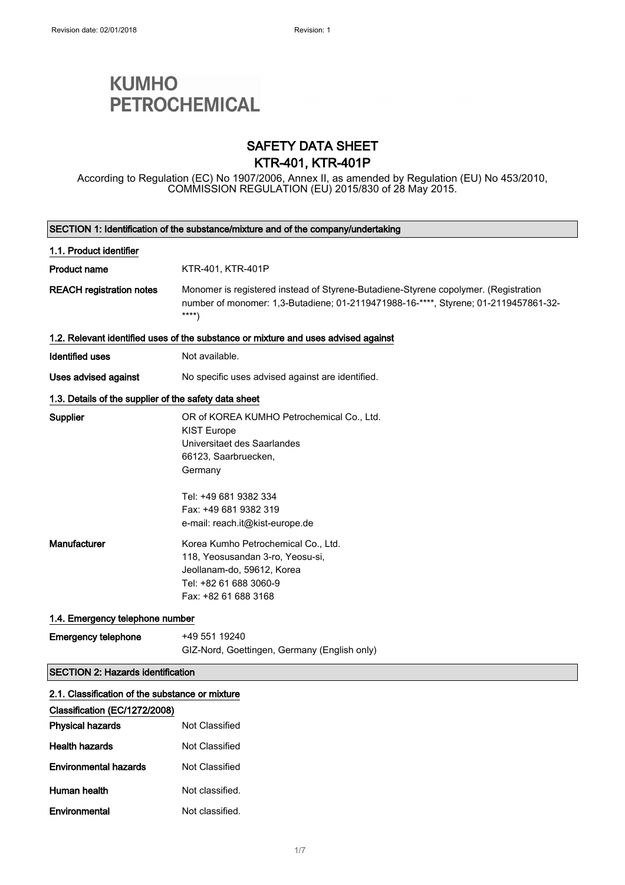# **KUMHO PETROCHEMICAL**

### SAFETY DATA SHEET KTR-401, KTR-401P

According to Regulation (EC) No 1907/2006, Annex II, as amended by Regulation (EU) No 453/2010, COMMISSION REGULATION (EU) 2015/830 of 28 May 2015.

| SECTION 1: Identification of the substance/mixture and of the company/undertaking |                                                                                                                                                                                     |
|-----------------------------------------------------------------------------------|-------------------------------------------------------------------------------------------------------------------------------------------------------------------------------------|
| 1.1. Product identifier                                                           |                                                                                                                                                                                     |
| <b>Product name</b>                                                               | KTR-401, KTR-401P                                                                                                                                                                   |
| <b>REACH registration notes</b>                                                   | Monomer is registered instead of Styrene-Butadiene-Styrene copolymer. (Registration<br>number of monomer: 1,3-Butadiene; 01-2119471988-16-****, Styrene; 01-2119457861-32-<br>$***$ |
|                                                                                   | 1.2. Relevant identified uses of the substance or mixture and uses advised against                                                                                                  |
| <b>Identified uses</b>                                                            | Not available.                                                                                                                                                                      |
| Uses advised against                                                              | No specific uses advised against are identified.                                                                                                                                    |
| 1.3. Details of the supplier of the safety data sheet                             |                                                                                                                                                                                     |
| Supplier                                                                          | OR of KOREA KUMHO Petrochemical Co., Ltd.<br><b>KIST Europe</b><br>Universitaet des Saarlandes<br>66123, Saarbruecken,<br>Germany                                                   |
|                                                                                   | Tel: +49 681 9382 334<br>Fax: +49 681 9382 319<br>e-mail: reach.it@kist-europe.de                                                                                                   |
| Manufacturer                                                                      | Korea Kumho Petrochemical Co., Ltd.<br>118, Yeosusandan 3-ro, Yeosu-si,<br>Jeollanam-do, 59612, Korea<br>Tel: +82 61 688 3060-9<br>Fax: +82 61 688 3168                             |
| 1.4. Emergency telephone number                                                   |                                                                                                                                                                                     |
| <b>Emergency telephone</b>                                                        | +49 551 19240<br>GIZ-Nord, Goettingen, Germany (English only)                                                                                                                       |
| <b>SECTION 2: Hazards identification</b>                                          |                                                                                                                                                                                     |
| 2.1. Classification of the substance or mixture                                   |                                                                                                                                                                                     |
| Classification (EC/1272/2008)                                                     |                                                                                                                                                                                     |
| <b>Physical hazards</b>                                                           | Not Classified                                                                                                                                                                      |
| <b>Health hazards</b>                                                             | Not Classified                                                                                                                                                                      |
| <b>Environmental hazards</b>                                                      | Not Classified                                                                                                                                                                      |
| Human health                                                                      | Not classified.                                                                                                                                                                     |
| Environmental                                                                     | Not classified.                                                                                                                                                                     |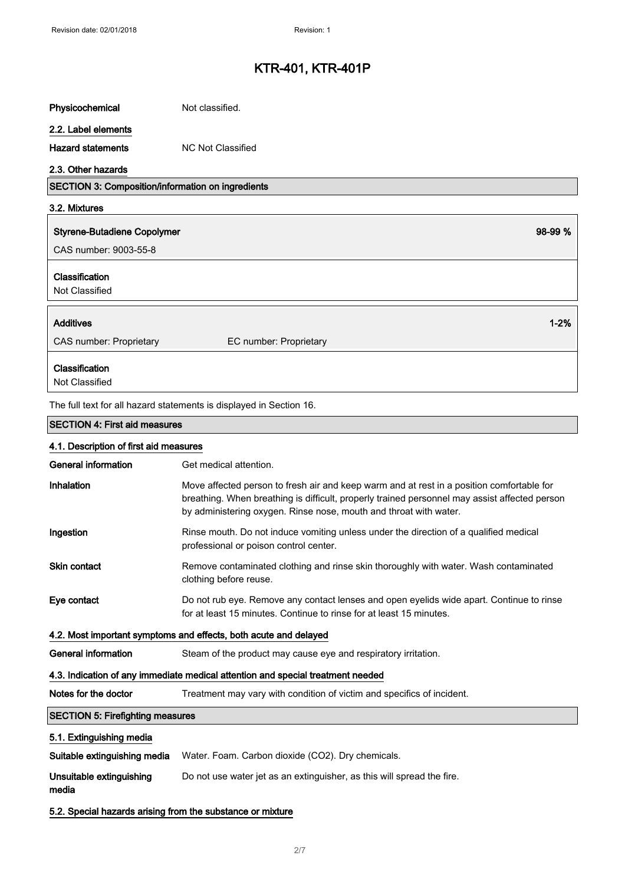| Physicochemical                                            | Not classified.                                                                                                                                                                                                                                                 |
|------------------------------------------------------------|-----------------------------------------------------------------------------------------------------------------------------------------------------------------------------------------------------------------------------------------------------------------|
| 2.2. Label elements                                        |                                                                                                                                                                                                                                                                 |
| <b>Hazard statements</b>                                   | <b>NC Not Classified</b>                                                                                                                                                                                                                                        |
| 2.3. Other hazards                                         |                                                                                                                                                                                                                                                                 |
| SECTION 3: Composition/information on ingredients          |                                                                                                                                                                                                                                                                 |
| 3.2. Mixtures                                              |                                                                                                                                                                                                                                                                 |
| <b>Styrene-Butadiene Copolymer</b>                         | 98-99 %                                                                                                                                                                                                                                                         |
| CAS number: 9003-55-8                                      |                                                                                                                                                                                                                                                                 |
| Classification<br>Not Classified                           |                                                                                                                                                                                                                                                                 |
| <b>Additives</b>                                           | $1 - 2%$                                                                                                                                                                                                                                                        |
| CAS number: Proprietary                                    | EC number: Proprietary                                                                                                                                                                                                                                          |
| Classification<br>Not Classified                           |                                                                                                                                                                                                                                                                 |
|                                                            | The full text for all hazard statements is displayed in Section 16.                                                                                                                                                                                             |
| <b>SECTION 4: First aid measures</b>                       |                                                                                                                                                                                                                                                                 |
| 4.1. Description of first aid measures                     |                                                                                                                                                                                                                                                                 |
| <b>General information</b>                                 | Get medical attention.                                                                                                                                                                                                                                          |
| Inhalation                                                 | Move affected person to fresh air and keep warm and at rest in a position comfortable for<br>breathing. When breathing is difficult, properly trained personnel may assist affected person<br>by administering oxygen. Rinse nose, mouth and throat with water. |
| Ingestion                                                  | Rinse mouth. Do not induce vomiting unless under the direction of a qualified medical<br>professional or poison control center.                                                                                                                                 |
| <b>Skin contact</b>                                        | Remove contaminated clothing and rinse skin thoroughly with water. Wash contaminated<br>clothing before reuse.                                                                                                                                                  |
| Eye contact                                                | Do not rub eye. Remove any contact lenses and open eyelids wide apart. Continue to rinse<br>for at least 15 minutes. Continue to rinse for at least 15 minutes.                                                                                                 |
|                                                            | 4.2. Most important symptoms and effects, both acute and delayed                                                                                                                                                                                                |
| <b>General information</b>                                 | Steam of the product may cause eye and respiratory irritation.                                                                                                                                                                                                  |
|                                                            | 4.3. Indication of any immediate medical attention and special treatment needed                                                                                                                                                                                 |
| Notes for the doctor                                       | Treatment may vary with condition of victim and specifics of incident.                                                                                                                                                                                          |
| <b>SECTION 5: Firefighting measures</b>                    |                                                                                                                                                                                                                                                                 |
| 5.1. Extinguishing media                                   |                                                                                                                                                                                                                                                                 |
| Suitable extinguishing media                               | Water. Foam. Carbon dioxide (CO2). Dry chemicals.                                                                                                                                                                                                               |
| Unsuitable extinguishing<br>media                          | Do not use water jet as an extinguisher, as this will spread the fire.                                                                                                                                                                                          |
| 5.2. Special hazards arising from the substance or mixture |                                                                                                                                                                                                                                                                 |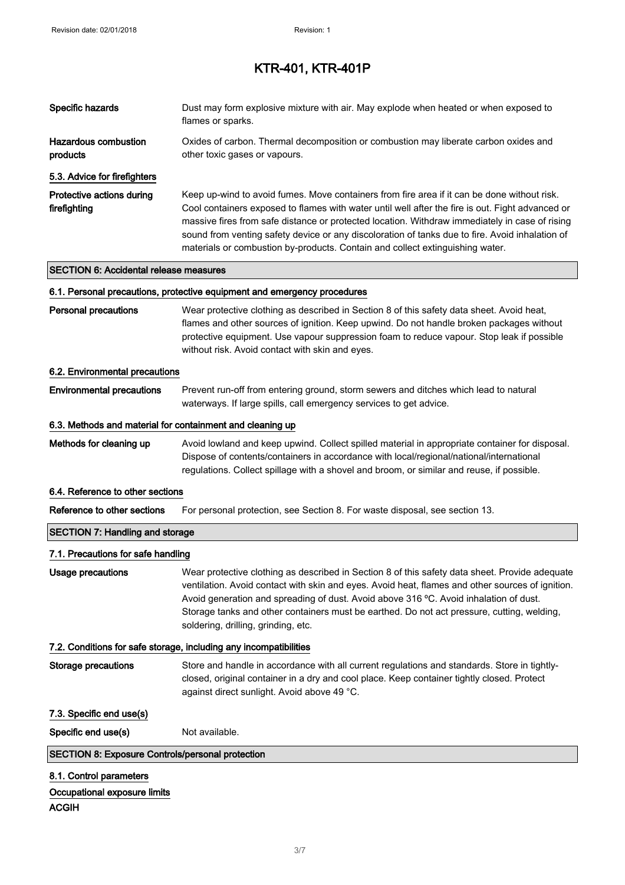| Specific hazards                                          | Dust may form explosive mixture with air. May explode when heated or when exposed to<br>flames or sparks.                                                                                                                                                                                                                                                                                                                                                                             |
|-----------------------------------------------------------|---------------------------------------------------------------------------------------------------------------------------------------------------------------------------------------------------------------------------------------------------------------------------------------------------------------------------------------------------------------------------------------------------------------------------------------------------------------------------------------|
| <b>Hazardous combustion</b><br>products                   | Oxides of carbon. Thermal decomposition or combustion may liberate carbon oxides and<br>other toxic gases or vapours.                                                                                                                                                                                                                                                                                                                                                                 |
| 5.3. Advice for firefighters                              |                                                                                                                                                                                                                                                                                                                                                                                                                                                                                       |
| Protective actions during<br>firefighting                 | Keep up-wind to avoid fumes. Move containers from fire area if it can be done without risk.<br>Cool containers exposed to flames with water until well after the fire is out. Fight advanced or<br>massive fires from safe distance or protected location. Withdraw immediately in case of rising<br>sound from venting safety device or any discoloration of tanks due to fire. Avoid inhalation of<br>materials or combustion by-products. Contain and collect extinguishing water. |
| <b>SECTION 6: Accidental release measures</b>             |                                                                                                                                                                                                                                                                                                                                                                                                                                                                                       |
|                                                           | 6.1. Personal precautions, protective equipment and emergency procedures                                                                                                                                                                                                                                                                                                                                                                                                              |
| <b>Personal precautions</b>                               | Wear protective clothing as described in Section 8 of this safety data sheet. Avoid heat,<br>flames and other sources of ignition. Keep upwind. Do not handle broken packages without<br>protective equipment. Use vapour suppression foam to reduce vapour. Stop leak if possible<br>without risk. Avoid contact with skin and eyes.                                                                                                                                                 |
| 6.2. Environmental precautions                            |                                                                                                                                                                                                                                                                                                                                                                                                                                                                                       |
| <b>Environmental precautions</b>                          | Prevent run-off from entering ground, storm sewers and ditches which lead to natural<br>waterways. If large spills, call emergency services to get advice.                                                                                                                                                                                                                                                                                                                            |
| 6.3. Methods and material for containment and cleaning up |                                                                                                                                                                                                                                                                                                                                                                                                                                                                                       |
| Methods for cleaning up                                   | Avoid lowland and keep upwind. Collect spilled material in appropriate container for disposal.<br>Dispose of contents/containers in accordance with local/regional/national/international<br>regulations. Collect spillage with a shovel and broom, or similar and reuse, if possible.                                                                                                                                                                                                |
| 6.4. Reference to other sections                          |                                                                                                                                                                                                                                                                                                                                                                                                                                                                                       |
| Reference to other sections                               | For personal protection, see Section 8. For waste disposal, see section 13.                                                                                                                                                                                                                                                                                                                                                                                                           |
| <b>SECTION 7: Handling and storage</b>                    |                                                                                                                                                                                                                                                                                                                                                                                                                                                                                       |
| 7.1. Precautions for safe handling                        |                                                                                                                                                                                                                                                                                                                                                                                                                                                                                       |
| <b>Usage precautions</b>                                  | Wear protective clothing as described in Section 8 of this safety data sheet. Provide adequate<br>ventilation. Avoid contact with skin and eyes. Avoid heat, flames and other sources of ignition.<br>Avoid generation and spreading of dust. Avoid above 316 °C. Avoid inhalation of dust.<br>Storage tanks and other containers must be earthed. Do not act pressure, cutting, welding,<br>soldering, drilling, grinding, etc.                                                      |
|                                                           | 7.2. Conditions for safe storage, including any incompatibilities                                                                                                                                                                                                                                                                                                                                                                                                                     |
| <b>Storage precautions</b>                                | Store and handle in accordance with all current regulations and standards. Store in tightly-<br>closed, original container in a dry and cool place. Keep container tightly closed. Protect<br>against direct sunlight. Avoid above 49 °C.                                                                                                                                                                                                                                             |
| 7.3. Specific end use(s)                                  |                                                                                                                                                                                                                                                                                                                                                                                                                                                                                       |
| Specific end use(s)                                       | Not available.                                                                                                                                                                                                                                                                                                                                                                                                                                                                        |
| <b>SECTION 8: Exposure Controls/personal protection</b>   |                                                                                                                                                                                                                                                                                                                                                                                                                                                                                       |
| 8.1. Control parameters                                   |                                                                                                                                                                                                                                                                                                                                                                                                                                                                                       |
| Occupational exposure limits<br><b>ACGIH</b>              |                                                                                                                                                                                                                                                                                                                                                                                                                                                                                       |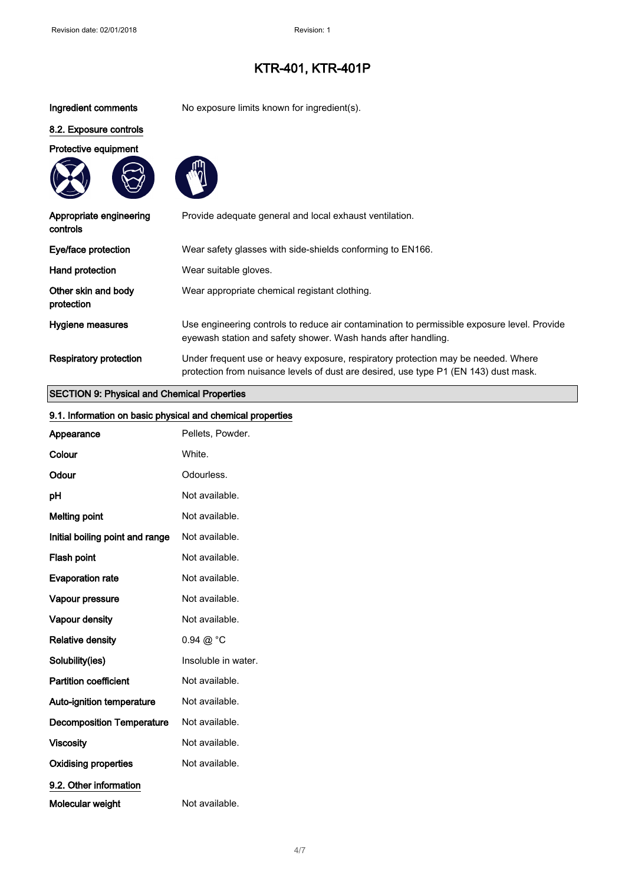Ingredient comments No exposure limits known for ingredient(s).

### 8.2. Exposure controls

Protective equipment





| Appropriate engineering<br>controls | Provide adequate general and local exhaust ventilation.                                                                                                                   |
|-------------------------------------|---------------------------------------------------------------------------------------------------------------------------------------------------------------------------|
| Eye/face protection                 | Wear safety glasses with side-shields conforming to EN166.                                                                                                                |
| Hand protection                     | Wear suitable gloves.                                                                                                                                                     |
| Other skin and body<br>protection   | Wear appropriate chemical registant clothing.                                                                                                                             |
| Hygiene measures                    | Use engineering controls to reduce air contamination to permissible exposure level. Provide<br>eyewash station and safety shower. Wash hands after handling.              |
| <b>Respiratory protection</b>       | Under frequent use or heavy exposure, respiratory protection may be needed. Where<br>protection from nuisance levels of dust are desired, use type P1 (EN 143) dust mask. |

### SECTION 9: Physical and Chemical Properties

| 9.1. Information on basic physical and chemical properties |                      |
|------------------------------------------------------------|----------------------|
| Appearance                                                 | Pellets, Powder.     |
| Colour                                                     | White.               |
| Odour                                                      | Odourless.           |
| pH                                                         | Not available.       |
| <b>Melting point</b>                                       | Not available.       |
| Initial boiling point and range                            | Not available.       |
| Flash point                                                | Not available.       |
| <b>Evaporation rate</b>                                    | Not available.       |
| Vapour pressure                                            | Not available.       |
| Vapour density                                             | Not available.       |
| <b>Relative density</b>                                    | $0.94 \ @ ^{\circ}C$ |
| Solubility(ies)                                            | Insoluble in water.  |
| <b>Partition coefficient</b>                               | Not available.       |
| Auto-ignition temperature                                  | Not available.       |
| <b>Decomposition Temperature</b>                           | Not available.       |
| <b>Viscosity</b>                                           | Not available.       |
| <b>Oxidising properties</b>                                | Not available.       |
| 9.2. Other information                                     |                      |
| Molecular weight                                           | Not available.       |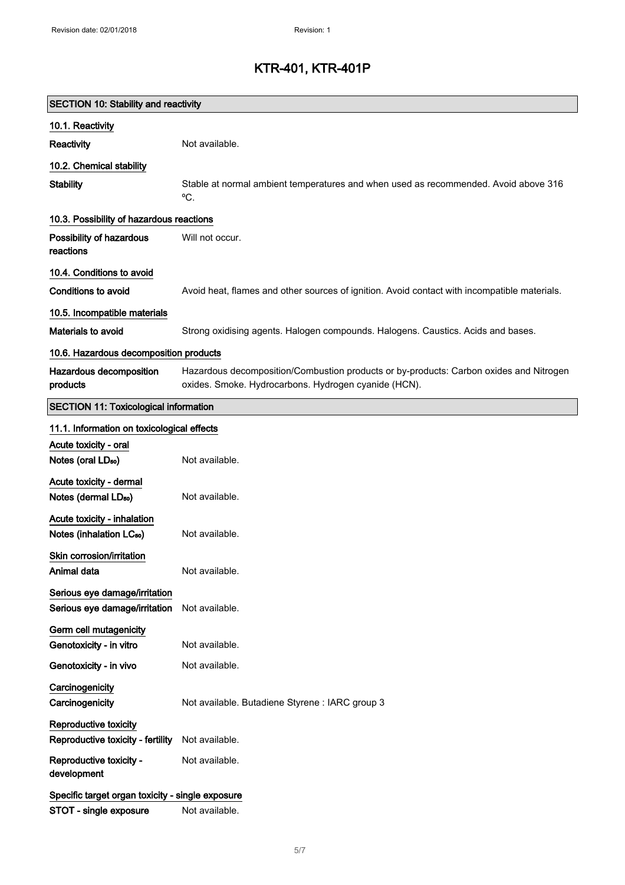| <b>SECTION 10: Stability and reactivity</b>                    |                                                                                                                                                |  |
|----------------------------------------------------------------|------------------------------------------------------------------------------------------------------------------------------------------------|--|
| 10.1. Reactivity                                               |                                                                                                                                                |  |
| Reactivity                                                     | Not available.                                                                                                                                 |  |
| 10.2. Chemical stability                                       |                                                                                                                                                |  |
| <b>Stability</b>                                               | Stable at normal ambient temperatures and when used as recommended. Avoid above 316<br>°C.                                                     |  |
| 10.3. Possibility of hazardous reactions                       |                                                                                                                                                |  |
| Possibility of hazardous<br>reactions                          | Will not occur.                                                                                                                                |  |
| 10.4. Conditions to avoid                                      |                                                                                                                                                |  |
| Conditions to avoid                                            | Avoid heat, flames and other sources of ignition. Avoid contact with incompatible materials.                                                   |  |
| 10.5. Incompatible materials                                   |                                                                                                                                                |  |
| Materials to avoid                                             | Strong oxidising agents. Halogen compounds. Halogens. Caustics. Acids and bases.                                                               |  |
| 10.6. Hazardous decomposition products                         |                                                                                                                                                |  |
| Hazardous decomposition<br>products                            | Hazardous decomposition/Combustion products or by-products: Carbon oxides and Nitrogen<br>oxides. Smoke. Hydrocarbons. Hydrogen cyanide (HCN). |  |
| <b>SECTION 11: Toxicological information</b>                   |                                                                                                                                                |  |
| 11.1. Information on toxicological effects                     |                                                                                                                                                |  |
| Acute toxicity - oral                                          |                                                                                                                                                |  |
| Notes (oral LD <sub>50</sub> )                                 | Not available.                                                                                                                                 |  |
| Acute toxicity - dermal                                        |                                                                                                                                                |  |
| Notes (dermal LD <sub>50</sub> )                               | Not available.                                                                                                                                 |  |
| Acute toxicity - inhalation                                    |                                                                                                                                                |  |
| Notes (inhalation LC <sub>50</sub> )                           | Not available.                                                                                                                                 |  |
| Skin corrosion/irritation                                      |                                                                                                                                                |  |
| Animal data                                                    | Not available.                                                                                                                                 |  |
| Serious eye damage/irritation<br>Serious eye damage/irritation | Not available.                                                                                                                                 |  |
| Germ cell mutagenicity                                         |                                                                                                                                                |  |
| Genotoxicity - in vitro                                        | Not available.                                                                                                                                 |  |
| Genotoxicity - in vivo                                         | Not available.                                                                                                                                 |  |
| Carcinogenicity<br>Carcinogenicity                             | Not available. Butadiene Styrene : IARC group 3                                                                                                |  |
| Reproductive toxicity                                          |                                                                                                                                                |  |
| Reproductive toxicity - fertility                              | Not available.                                                                                                                                 |  |
| Reproductive toxicity -<br>development                         | Not available.                                                                                                                                 |  |
| Specific target organ toxicity - single exposure               |                                                                                                                                                |  |
| STOT - single exposure                                         | Not available.                                                                                                                                 |  |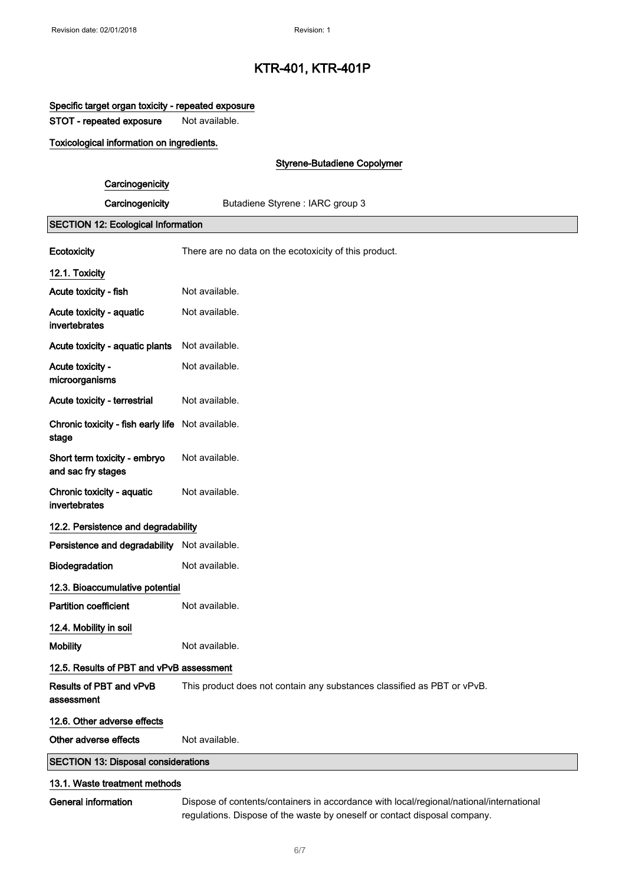### Specific target organ toxicity - repeated exposure

STOT - repeated exposure Not available.

### Toxicological information on ingredients.

### Styrene-Butadiene Copolymer

### **Carcinogenicity**

Carcinogenicity **Butadiene Styrene : IARC group 3** 

### SECTION 12: Ecological Information

| <b>Ecotoxicity</b>                                         | There are no data on the ecotoxicity of this product.                   |
|------------------------------------------------------------|-------------------------------------------------------------------------|
| 12.1. Toxicity                                             |                                                                         |
| Acute toxicity - fish                                      | Not available.                                                          |
| Acute toxicity - aquatic<br>invertebrates                  | Not available.                                                          |
| Acute toxicity - aquatic plants                            | Not available.                                                          |
| Acute toxicity -<br>microorganisms                         | Not available.                                                          |
| Acute toxicity - terrestrial                               | Not available.                                                          |
| Chronic toxicity - fish early life Not available.<br>stage |                                                                         |
| Short term toxicity - embryo<br>and sac fry stages         | Not available.                                                          |
| Chronic toxicity - aquatic<br>invertebrates                | Not available.                                                          |
| 12.2. Persistence and degradability                        |                                                                         |
| Persistence and degradability Not available.               |                                                                         |
| Biodegradation                                             | Not available.                                                          |
| 12.3. Bioaccumulative potential                            |                                                                         |
| <b>Partition coefficient</b>                               | Not available.                                                          |
| 12.4. Mobility in soil                                     |                                                                         |
| <b>Mobility</b>                                            | Not available.                                                          |
| 12.5. Results of PBT and vPvB assessment                   |                                                                         |
| Results of PBT and vPvB<br>assessment                      | This product does not contain any substances classified as PBT or vPvB. |
| 12.6. Other adverse effects                                |                                                                         |
| Other adverse effects                                      | Not available.                                                          |
| <b>SECTION 13: Disposal considerations</b>                 |                                                                         |
| 13.1. Waste treatment methods                              |                                                                         |

General information Dispose of contents/containers in accordance with local/regional/national/international regulations. Dispose of the waste by oneself or contact disposal company.